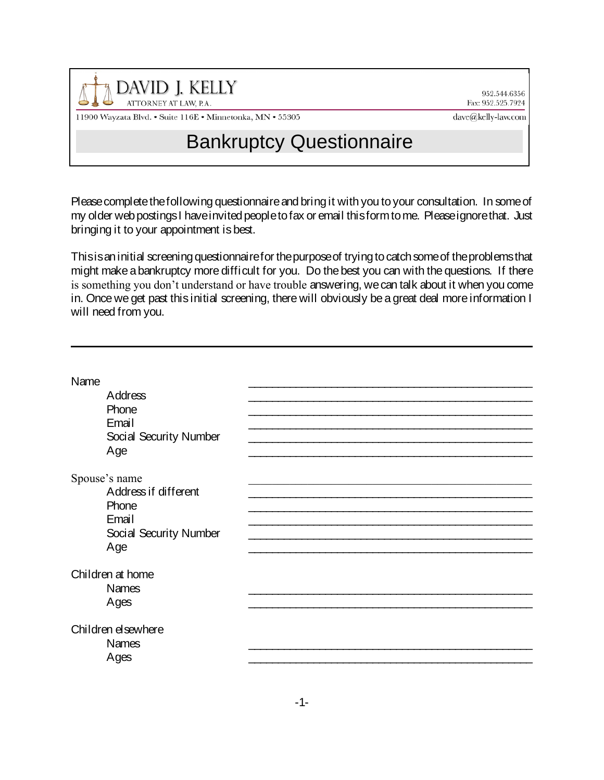

952.544.6356 Fax: 952.525.7924

11900 Wayzata Blvd. • Suite 116E • Minnetonka, MN • 55305

## dave@kelly-law.com

## Bankruptcy Questionnaire

Please complete the following questionnaire and bring it with you to your consultation. In some of my older web postings I have invited people to fax or email this form to me. Please ignore that. Just bringing it to your appointment is best.

This is an initial screening questionnaire for the purpose of trying to catch some of the problems that might make a bankruptcy more difficult for you. Do the best you can with the questions. If there is something you don't understand or have trouble answering, we can talk about it when you come in. Once we get past this initial screening, there will obviously be a great deal more information I will need from you.

| Name                             |  |
|----------------------------------|--|
| Address<br>Phone                 |  |
| Email                            |  |
| Social Security Number<br>Age    |  |
|                                  |  |
| Spouse's name                    |  |
| Address if different             |  |
| Phone                            |  |
| Email                            |  |
| Social Security Number           |  |
| Age                              |  |
|                                  |  |
| Children at home<br><b>Names</b> |  |
| Ages                             |  |
|                                  |  |
| Children elsewhere               |  |
| <b>Names</b>                     |  |
| Ages                             |  |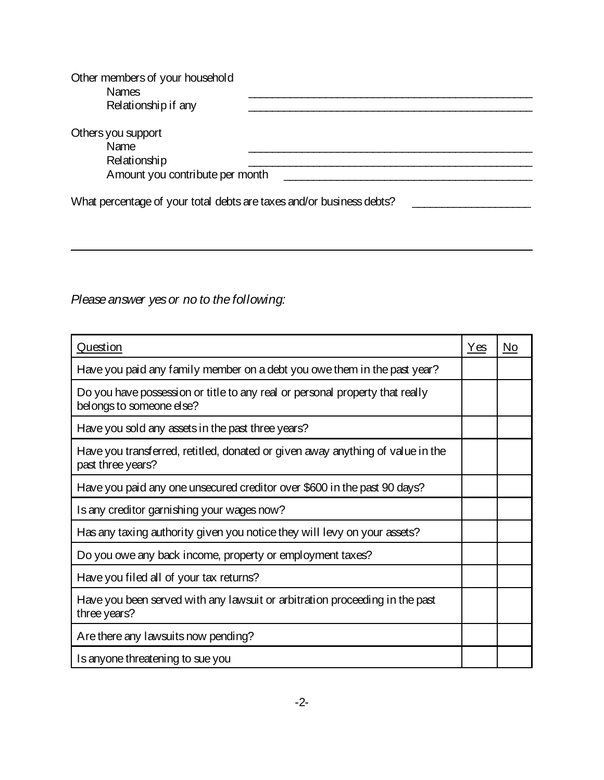| A mount you contribute per month                                     |
|----------------------------------------------------------------------|
|                                                                      |
| What percentage of your total debts are taxes and/or business debts? |
|                                                                      |

Please answer yes or no to the following:

| Question                                                                                                 |  | No |
|----------------------------------------------------------------------------------------------------------|--|----|
| Have you paid any family member on a debt you owe them in the past year?                                 |  |    |
| Do you have possession or title to any real or personal property that really<br>belongs to someone else? |  |    |
| Have you sold any assets in the past three years?                                                        |  |    |
| Have you transferred, retitled, donated or given away anything of value in the<br>past three years?      |  |    |
| Have you paid any one unsecured creditor over \$600 in the past 90 days?                                 |  |    |
| Is any creditor garnishing your wages now?                                                               |  |    |
| Has any taxing authority given you notice they will levy on your assets?                                 |  |    |
| Do you owe any back income, property or employment taxes?                                                |  |    |
| Have you filed all of your tax returns?                                                                  |  |    |
| Have you been served with any lawsuit or arbitration proceeding in the past<br>three years?              |  |    |
| Are there any lawsuits now pending?                                                                      |  |    |
| Is anyone threatening to sue you                                                                         |  |    |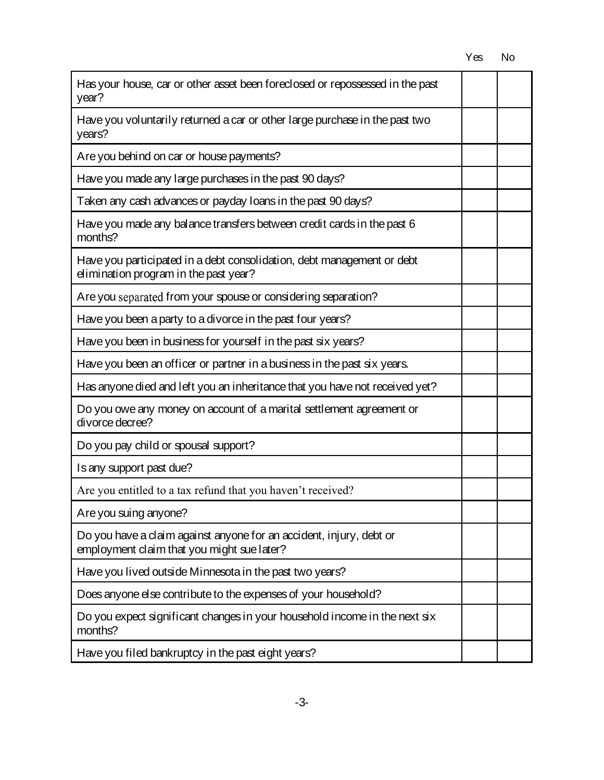| Has your house, car or other asset been foreclosed or repossessed in the past<br>year?                            |  |  |
|-------------------------------------------------------------------------------------------------------------------|--|--|
| Have you voluntarily returned a car or other large purchase in the past two<br>years?                             |  |  |
| Are you behind on car or house payments?                                                                          |  |  |
| Have you made any large purchases in the past 90 days?                                                            |  |  |
| Taken any cash advances or payday Ioans in the past 90 days?                                                      |  |  |
| Have you made any balance transfers between credit cards in the past 6<br>months?                                 |  |  |
| Have you participated in a debt consolidation, debt management or debt<br>elimination program in the past year?   |  |  |
| Are you separated from your spouse or considering separation?                                                     |  |  |
| Have you been a party to a divorce in the past four years?                                                        |  |  |
| Have you been in business for yourself in the past six years?                                                     |  |  |
| Have you been an officer or partner in a business in the past six years.                                          |  |  |
| Has anyone died and left you an inheritance that you have not received yet?                                       |  |  |
| Do you owe any money on account of a marital settlement agreement or<br>divorce decree?                           |  |  |
| Do you pay child or spousal support?                                                                              |  |  |
| Is any support past due?                                                                                          |  |  |
| Are you entitled to a tax refund that you haven't received?                                                       |  |  |
| Are you suing anyone?                                                                                             |  |  |
| Do you have a claim against anyone for an accident, injury, debt or<br>employment claim that you might sue later? |  |  |
| Have you lived outside Minnesota in the past two years?                                                           |  |  |
| Does anyone else contribute to the expenses of your household?                                                    |  |  |
| Do you expect significant changes in your household income in the next six<br>months?                             |  |  |
| Have you filed bankruptcy in the past eight years?                                                                |  |  |